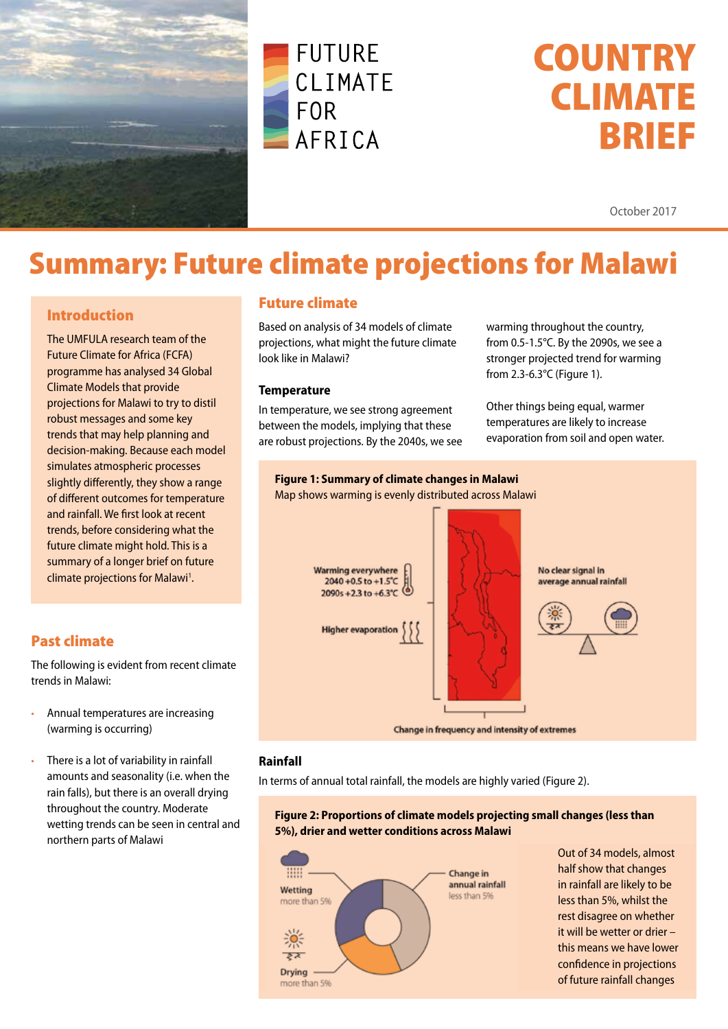



# **COUNTRY** CLIMATE BRIEF

October 2017

## Summary: Future climate projections for Malawi

#### Introduction

The UMFULA research team of the Future Climate for Africa (FCFA) programme has analysed 34 Global Climate Models that provide projections for Malawi to try to distil robust messages and some key trends that may help planning and decision-making. Because each model simulates atmospheric processes slightly differently, they show a range of different outcomes for temperature and rainfall. We first look at recent trends, before considering what the future climate might hold. This is a summary of a longer brief on future climate projections for Malawi<sup>1</sup>.

#### Future climate

Based on analysis of 34 models of climate projections, what might the future climate look like in Malawi?

#### **Temperature**

In temperature, we see strong agreement between the models, implying that these are robust projections. By the 2040s, we see warming throughout the country, from 0.5-1.5°C. By the 2090s, we see a stronger projected trend for warming from 2.3-6.3°C (Figure 1).

Other things being equal, warmer temperatures are likely to increase evaporation from soil and open water.



#### **Rainfall**

In terms of annual total rainfall, the models are highly varied (Figure 2).

#### **Figure 2: Proportions of climate models projecting small changes (less than 5%), drier and wetter conditions across Malawi**



Out of 34 models, almost half show that changes in rainfall are likely to be less than 5%, whilst the rest disagree on whether it will be wetter or drier – this means we have lower confidence in projections of future rainfall changes

#### Past climate

The following is evident from recent climate trends in Malawi:

- Annual temperatures are increasing (warming is occurring)
- There is a lot of variability in rainfall amounts and seasonality (i.e. when the rain falls), but there is an overall drying throughout the country. Moderate wetting trends can be seen in central and northern parts of Malawi